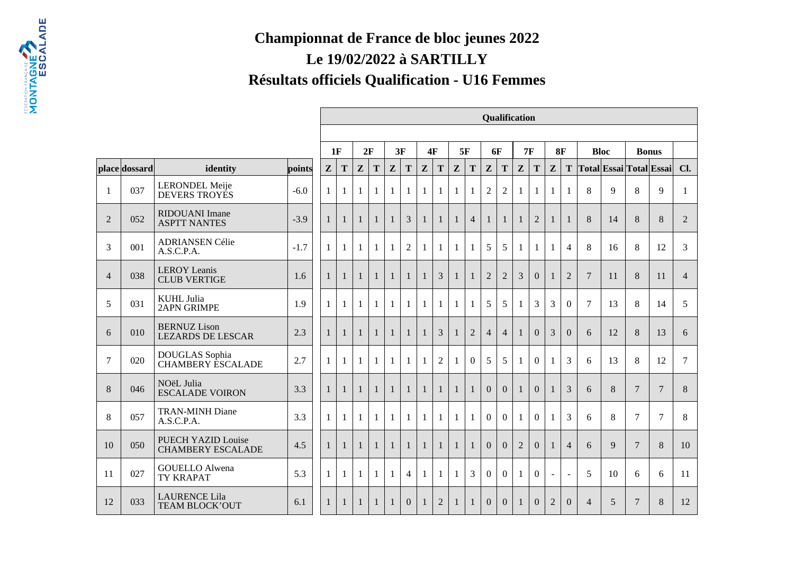## **Championnat de France de bloc jeunes 2022Le 19/02/2022 à SARTILLYRésultats officiels Qualification - U16 Femmes**

|                |               |                                                 |                                                                                                                       |                |              |              |              |              |                |              |                |              |                | <b>Qualification</b> |                |                |                |                |                  |                |    |                 |                |                |
|----------------|---------------|-------------------------------------------------|-----------------------------------------------------------------------------------------------------------------------|----------------|--------------|--------------|--------------|--------------|----------------|--------------|----------------|--------------|----------------|----------------------|----------------|----------------|----------------|----------------|------------------|----------------|----|-----------------|----------------|----------------|
|                |               |                                                 | 3F<br>5F<br><b>6F</b><br>7F<br>8F<br>1F<br>2F<br><b>4F</b><br><b>Bloc</b><br><b>Bonus</b><br> Total Essai Total Essai |                |              |              |              |              |                |              |                |              |                |                      |                |                |                |                |                  |                |    |                 |                |                |
|                |               |                                                 |                                                                                                                       |                |              |              |              |              |                |              |                |              |                |                      |                |                |                |                |                  |                |    |                 |                |                |
|                | place dossard | identity                                        | points                                                                                                                | Z              | T            | $\mathbf{Z}$ | T            | Z            | T              | Z            | T              | $\mathbf{Z}$ | T              | Z                    | T              | Z              | T              | Z              | T                |                |    |                 |                | Cl.            |
| -1             | 037           | <b>LERONDEL Meije</b><br>DEVERS TROYES          | $-6.0$                                                                                                                | 1              | $\mathbf{1}$ | 1            | 1            | $\mathbf{1}$ | 1              | 1            | 1              | $\mathbf{1}$ | 1              | $\overline{2}$       | $\overline{2}$ | $\mathbf{1}$   | $\mathbf{1}$   | $\mathbf{1}$   | 1                | 8              | 9  | 8               | 9              | $\mathbf{1}$   |
| $\overline{2}$ | 052           | <b>RIDOUANI</b> Imane<br><b>ASPTT NANTES</b>    | $-3.9$                                                                                                                | 1              | $\mathbf{1}$ | $\mathbf{1}$ | $\mathbf{1}$ | $\mathbf{1}$ | 3              | 1            | $\mathbf{1}$   | $\mathbf{1}$ | $\overline{4}$ | $\mathbf{1}$         | $\mathbf{1}$   | $\mathbf{1}$   | $\overline{2}$ | 1              | $\mathbf{1}$     | 8              | 14 | 8               | 8              | $\overline{2}$ |
| 3              | 001           | <b>ADRIANSEN Célie</b><br>A.S.C.P.A.            | $-1.7$                                                                                                                | $\mathbf{1}$   | $\mathbf{1}$ | $\mathbf{1}$ | $\mathbf{1}$ | $\mathbf{1}$ | $\overline{2}$ | 1            | 1              | 1            | 1              | 5                    | 5              | $\mathbf{1}$   | $\mathbf{1}$   | 1              | $\overline{4}$   | 8              | 16 | 8               | 12             | 3              |
| $\overline{4}$ | 038           | <b>LEROY</b> Leanis<br><b>CLUB VERTIGE</b>      | 1.6                                                                                                                   | $\mathbf{1}$   | $\mathbf{1}$ | $\mathbf{1}$ | $\mathbf{1}$ | $\mathbf{1}$ | $\mathbf{1}$   | $\mathbf{1}$ | 3              | $\mathbf{1}$ | 1              | $\overline{2}$       | $\overline{2}$ | 3              | $\Omega$       | 1              | $\overline{2}$   | $\overline{7}$ | 11 | 8               | 11             | $\overline{4}$ |
| 5              | 031           | <b>KUHL</b> Julia<br><b>2APN GRIMPE</b>         | 1.9                                                                                                                   | 1              | 1            | 1            | 1            | $\mathbf{1}$ | $\mathbf{1}$   | $\mathbf{1}$ | 1              | 1            |                | 5                    | 5              | $\mathbf{1}$   | 3              | 3              | $\mathbf{0}$     | $\overline{7}$ | 13 | 8               | 14             | 5              |
| 6              | 010           | <b>BERNUZ Lison</b><br><b>LEZARDS DE LESCAR</b> | 2.3                                                                                                                   | $\mathbf{1}$   | $\mathbf{1}$ | $\mathbf{1}$ | $\mathbf{1}$ | $\mathbf{1}$ | $\mathbf{1}$   | 1            | 3              | $\mathbf{1}$ | $\overline{2}$ | $\overline{4}$       | $\overline{4}$ | $\mathbf{1}$   | $\Omega$       | 3              | $\boldsymbol{0}$ | 6              | 12 | 8               | 13             | 6              |
| $\overline{7}$ | 020           | DOUGLAS Sophia<br><b>CHAMBERY ESCALADE</b>      | 2.7                                                                                                                   | -1             | $\mathbf{1}$ | $\mathbf{1}$ | $\mathbf{1}$ | $\mathbf{1}$ | $\mathbf{1}$   | $\mathbf{1}$ | $\overline{2}$ | 1            | $\overline{0}$ | 5                    | 5              | 1              | $\overline{0}$ | 1              | 3                | 6              | 13 | 8               | 12             | 7              |
| 8              | 046           | NOëL Julia<br><b>ESCALADE VOIRON</b>            | 3.3                                                                                                                   | $\overline{1}$ | $\mathbf{1}$ | $\mathbf{1}$ | $\mathbf{1}$ | $\mathbf{1}$ | $\mathbf{1}$   | $\mathbf{1}$ | $\mathbf{1}$   | $\mathbf{1}$ | $\mathbf{1}$   | $\Omega$             | $\Omega$       | $\mathbf{1}$   | $\overline{0}$ | $\mathbf{1}$   | 3                | 6              | 8  | $\overline{7}$  | $\overline{7}$ | 8              |
| 8              | 057           | <b>TRAN-MINH Diane</b><br>A.S.C.P.A.            | 3.3                                                                                                                   | $\mathbf{1}$   | $\mathbf{1}$ | $\mathbf{1}$ | $\mathbf{1}$ | $\mathbf{1}$ | $\mathbf{1}$   | $\mathbf{1}$ | $\mathbf{1}$   | $\mathbf{1}$ | $\mathbf{1}$   | $\Omega$             | $\theta$       | $\mathbf{1}$   | $\Omega$       | $\mathbf{1}$   | 3                | 6              | 8  | $\tau$          | $\tau$         | 8              |
| 10             | 050           | PUECH YAZID Louise<br><b>CHAMBERY ESCALADE</b>  | 4.5                                                                                                                   | 1              | $\mathbf{1}$ | $\mathbf{1}$ | $\mathbf{1}$ | $\mathbf{1}$ | $\mathbf{1}$   | $\mathbf{1}$ | $\mathbf{1}$   | $\mathbf{1}$ | 1              | $\Omega$             | $\Omega$       | $\overline{2}$ | $\Omega$       | $\mathbf{1}$   | $\overline{4}$   | 6              | 9  | $7\phantom{.0}$ | 8              | 10             |
| 11             | 027           | <b>GOUELLO Alwena</b><br><b>TY KRAPAT</b>       | 5.3                                                                                                                   | 1              | 1            | 1            | 1            | $\mathbf{1}$ | $\overline{4}$ | $\mathbf{1}$ | 1              | $\mathbf{1}$ | 3              | $\Omega$             | $\Omega$       | $\mathbf{1}$   | $\Omega$       | $\blacksquare$ | $\blacksquare$   | 5              | 10 | 6               | 6              | 11             |
| 12             | 033           | <b>LAURENCE Lila</b><br><b>TEAM BLOCK'OUT</b>   | 6.1                                                                                                                   | -1             | 1            | $\mathbf{1}$ | 1            | $\mathbf{1}$ | $\overline{0}$ | 1            | $\overline{2}$ | 1            |                | $\Omega$             | $\Omega$       | 1              | $\mathbf{0}$   | $\overline{2}$ | $\boldsymbol{0}$ | $\overline{4}$ | 5  | $7\phantom{.0}$ | $8\,$          | 12             |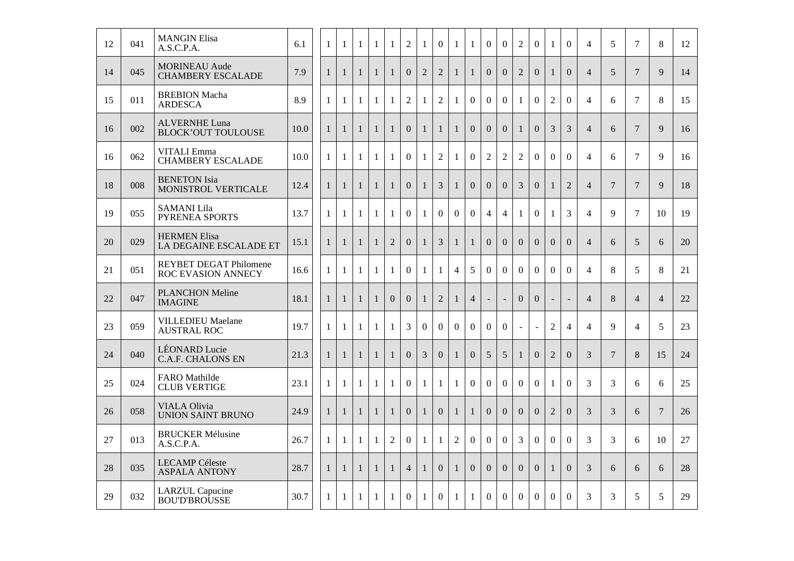| 12 | 041 | <b>MANGIN Elisa</b><br>A.S.C.P.A.                   | 6.1  | $\mathbf{1}$ | 1            | -1           | 1            | 1              | $\overline{2}$ | 1              | $\overline{0}$ | 1              | 1                | $\overline{0}$   | $\overline{0}$ | $\overline{2}$ | $\boldsymbol{0}$ | $\mathbf{1}$   | $\boldsymbol{0}$ | $\overline{4}$ | 5              | $\tau$          | 8               | 12     |
|----|-----|-----------------------------------------------------|------|--------------|--------------|--------------|--------------|----------------|----------------|----------------|----------------|----------------|------------------|------------------|----------------|----------------|------------------|----------------|------------------|----------------|----------------|-----------------|-----------------|--------|
| 14 | 045 | <b>MORINEAU</b> Aude<br><b>CHAMBERY ESCALADE</b>    | 7.9  | $\mathbf{1}$ | $\mathbf{1}$ | $\mathbf{1}$ | $\mathbf{1}$ | $\mathbf{1}$   | $\overline{0}$ | $\overline{2}$ | $\overline{2}$ | $\mathbf{1}$   | $\mathbf{1}$     | $\overline{0}$   | $\overline{0}$ | $\overline{2}$ | $\overline{0}$   | 1              | $\overline{0}$   | $\overline{4}$ | 5              | $\overline{7}$  | 9               | 14     |
| 15 | 011 | <b>BREBION Macha</b><br><b>ARDESCA</b>              | 8.9  | $\mathbf{1}$ | 1            | $\mathbf{1}$ | $\mathbf{1}$ | $\mathbf{1}$   | $\overline{2}$ | $\mathbf{1}$   | $\overline{2}$ | $\mathbf{1}$   | $\overline{0}$   | $\overline{0}$   | $\overline{0}$ | $\mathbf{1}$   | $\Omega$         | $\overline{2}$ | $\overline{0}$   | $\overline{4}$ | 6              | $\tau$          | 8               | 15     |
| 16 | 002 | <b>ALVERNHE Luna</b><br><b>BLOCK'OUT TOULOUSE</b>   | 10.0 | $\mathbf{1}$ | $\mathbf{1}$ | $\mathbf{1}$ | $\mathbf{1}$ | $\mathbf{1}$   | $\overline{0}$ | $\mathbf{1}$   | $\mathbf{1}$   | $\mathbf{1}$   | $\overline{0}$   | $\overline{0}$   | $\Omega$       | $\mathbf{1}$   | $\Omega$         | 3              | 3                | $\overline{4}$ | 6              | $7\phantom{.0}$ | 9               | 16     |
| 16 | 062 | <b>VITALI</b> Emma<br><b>CHAMBERY ESCALADE</b>      | 10.0 | $\mathbf{1}$ | 1            | 1            | 1            | 1              | $\overline{0}$ | 1              | $\overline{2}$ | 1              | $\overline{0}$   | $\overline{2}$   | $\overline{2}$ | $\overline{2}$ | $\overline{0}$   | $\overline{0}$ | $\overline{0}$   | $\overline{4}$ | 6              | $\tau$          | 9               | 16     |
| 18 | 008 | <b>BENETON</b> Isia<br>MONISTROL VERTICALE          | 12.4 | $\mathbf{1}$ | $\mathbf{1}$ | $\mathbf{1}$ | $\mathbf{1}$ | $\mathbf{1}$   | $\overline{0}$ | $\mathbf{1}$   | $\mathfrak{Z}$ | $\mathbf{1}$   | $\boldsymbol{0}$ | $\boldsymbol{0}$ | $\overline{0}$ | 3              | $\boldsymbol{0}$ | $\mathbf{1}$   | $\overline{2}$   | $\overline{4}$ | $\overline{7}$ | $\overline{7}$  | 9               | $18\,$ |
| 19 | 055 | <b>SAMANI</b> Lila<br>PYRENEA SPORTS                | 13.7 | $\mathbf{1}$ | $\mathbf{1}$ | $\mathbf{1}$ | 1            | $\mathbf{1}$   | $\overline{0}$ | $\mathbf{1}$   | $\Omega$       | $\overline{0}$ | $\overline{0}$   | $\overline{4}$   | $\overline{4}$ | $\mathbf{1}$   | $\Omega$         | $\mathbf{1}$   | 3                | $\overline{4}$ | 9              | $\overline{7}$  | 10              | 19     |
| 20 | 029 | <b>HERMEN Elisa</b><br>LA DEGAINE ESCALADE ET       | 15.1 | $\mathbf{1}$ | $\mathbf{1}$ | $\mathbf{1}$ | $\mathbf{1}$ | $\overline{2}$ | $\overline{0}$ | $\mathbf{1}$   | 3              | $\mathbf{1}$   | $\mathbf{1}$     | $\overline{0}$   | $\overline{0}$ | $\overline{0}$ | $\overline{0}$   | $\overline{0}$ | $\overline{0}$   | $\overline{4}$ | 6              | $\mathfrak{S}$  | 6               | 20     |
| 21 | 051 | <b>REYBET DEGAT Philomene</b><br>ROC EVASION ANNECY | 16.6 | $\mathbf{1}$ | $\mathbf{1}$ | 1            | $\mathbf{1}$ | $\mathbf{1}$   | $\overline{0}$ | $\mathbf{1}$   | $\mathbf{1}$   | $\overline{4}$ | 5                | $\overline{0}$   | $\overline{0}$ | $\overline{0}$ | $\overline{0}$   | $\overline{0}$ | $\overline{0}$   | $\overline{4}$ | 8              | 5               | 8               | 21     |
| 22 | 047 | <b>PLANCHON Meline</b><br><b>IMAGINE</b>            | 18.1 | $\mathbf{1}$ | $\mathbf{1}$ | $\mathbf{1}$ | $\mathbf{1}$ | $\overline{0}$ | $\overline{0}$ | $\mathbf{1}$   | $\sqrt{2}$     | $\mathbf{1}$   | $\overline{4}$   | $\blacksquare$   | $\Box$         | $\overline{0}$ | $\overline{0}$   | $\overline{a}$ | $\blacksquare$   | $\overline{4}$ | 8              | $\overline{4}$  | $\overline{4}$  | 22     |
| 23 | 059 | <b>VILLEDIEU Maelane</b><br><b>AUSTRAL ROC</b>      | 19.7 | 1            | 1            | -1           | 1            | $\mathbf{1}$   | 3              | $\overline{0}$ | $\overline{0}$ | $\overline{0}$ | $\overline{0}$   | $\overline{0}$   | $\overline{0}$ | $\equiv$       | $\blacksquare$   | $\mathfrak{2}$ | $\overline{4}$   | $\overline{4}$ | 9              | $\overline{4}$  | 5               | 23     |
| 24 | 040 | <b>LÉONARD</b> Lucie<br><b>C.A.F. CHALONS EN</b>    | 21.3 | $\mathbf{1}$ | $\mathbf{1}$ | $\mathbf{1}$ | $\mathbf{1}$ | $\mathbf{1}$   | $\overline{0}$ | $\overline{3}$ | $\overline{0}$ | $\mathbf{1}$   | $\overline{0}$   | 5                | 5              | $\mathbf{1}$   | $\Omega$         | $\overline{2}$ | $\overline{0}$   | 3              | $\overline{7}$ | 8               | 15              | 24     |
| 25 | 024 | FARO Mathilde<br><b>CLUB VERTIGE</b>                | 23.1 | $\mathbf{1}$ | 1            | $\mathbf{1}$ | $\mathbf{1}$ | $\mathbf{1}$   | $\Omega$       | $\mathbf{1}$   | $\mathbf{1}$   | 1              | $\overline{0}$   | $\overline{0}$   | $\overline{0}$ | $\Omega$       | $\Omega$         | $\mathbf{1}$   | $\overline{0}$   | 3              | 3              | 6               | 6               | 25     |
| 26 | 058 | <b>VIALA Olivia</b><br><b>UNION SAINT BRUNO</b>     | 24.9 | $\mathbf{1}$ | $\mathbf{1}$ | $\mathbf{1}$ | $\mathbf{1}$ | $\mathbf{1}$   | $\overline{0}$ | $\mathbf{1}$   | $\mathbf{0}$   | $\mathbf{1}$   | $\mathbf{1}$     | $\overline{0}$   | $\overline{0}$ | $\overline{0}$ | $\overline{0}$   | $\overline{2}$ | $\overline{0}$   | 3              | 3              | 6               | $7\phantom{.0}$ | 26     |
| 27 | 013 | <b>BRUCKER Mélusine</b><br>A.S.C.P.A.               | 26.7 | $\mathbf{1}$ | 1            | 1            | 1            | $\overline{2}$ | $\overline{0}$ | $\mathbf{1}$   | $\mathbf{1}$   | $\overline{2}$ | $\overline{0}$   | $\overline{0}$   | $\overline{0}$ | 3              | $\overline{0}$   | $\overline{0}$ | $\overline{0}$   | 3              | 3              | 6               | 10              | 27     |
| 28 | 035 | <b>LECAMP</b> Céleste<br><b>ASPALA ANTONY</b>       | 28.7 | $\mathbf{1}$ | $\mathbf{1}$ | $\mathbf{1}$ | $\mathbf{1}$ | $\mathbf{1}$   | $\overline{4}$ | $\mathbf{1}$   | $\overline{0}$ | $\mathbf{1}$   | $\overline{0}$   | $\overline{0}$   | $\overline{0}$ | $\overline{0}$ | $\overline{0}$   | 1              | $\boldsymbol{0}$ | 3              | 6              | 6               | 6               | $28\,$ |
| 29 | 032 | <b>LARZUL</b> Capucine<br><b>BOU'D'BROUSSE</b>      | 30.7 | $\mathbf{1}$ | $\mathbf{1}$ | -1           | $\mathbf{1}$ | $\mathbf{1}$   | $\Omega$       | $\mathbf{1}$   | $\Omega$       | $\mathbf{1}$   | $\mathbf{1}$     | $\Omega$         | $\Omega$       | $\Omega$       | $\theta$         | $\Omega$       | $\Omega$         | 3              | 3              | 5               | 5               | 29     |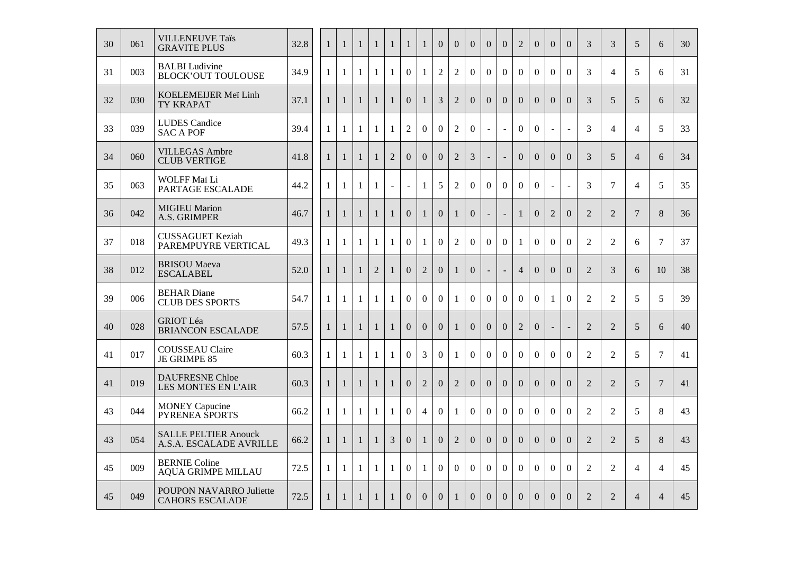| 30 | 061 | <b>VILLENEUVE Taïs</b><br><b>GRAVITE PLUS</b>          | 32.8 | $\mathbf{1}$ | $\mathbf{1}$ | $\mathbf{1}$ | $\mathbf{1}$   | $\mathbf{1}$   | $\mathbf{1}$   | $\mathbf{1}$   | $\overline{0}$ | $\overline{0}$ | $\overline{0}$ | $\overline{0}$ | $\overline{0}$ | $\overline{2}$   | $\overline{0}$ | $\overline{0}$           | $\theta$                 | 3              | 3              | 5                        | 6              | 30 |
|----|-----|--------------------------------------------------------|------|--------------|--------------|--------------|----------------|----------------|----------------|----------------|----------------|----------------|----------------|----------------|----------------|------------------|----------------|--------------------------|--------------------------|----------------|----------------|--------------------------|----------------|----|
| 31 | 003 | <b>BALBI</b> Ludivine<br><b>BLOCK'OUT TOULOUSE</b>     | 34.9 | $\mathbf{1}$ | $\mathbf{1}$ | $\mathbf{1}$ | $\mathbf{1}$   | $\mathbf{1}$   | $\overline{0}$ | $\mathbf{1}$   | $\overline{2}$ | $\overline{2}$ | $\overline{0}$ | $\Omega$       | $\Omega$       | $\Omega$         | $\overline{0}$ | $\Omega$                 | $\overline{0}$           | 3              | $\overline{4}$ | 5                        | 6              | 31 |
| 32 | 030 | KOELEMEIJER Meï Linh<br>TY KRAPAT                      | 37.1 | 1            | 1            | $\mathbf{1}$ | $\mathbf{1}$   | $\mathbf{1}$   | $\overline{0}$ | $\mathbf{1}$   | 3              | $\overline{2}$ | $\overline{0}$ | $\overline{0}$ | $\overline{0}$ | $\overline{0}$   | $\overline{0}$ | $\mathbf{0}$             | $\Omega$                 | 3              | 5              | $\overline{5}$           | 6              | 32 |
| 33 | 039 | <b>LUDES</b> Candice<br><b>SAC A POF</b>               | 39.4 | $\mathbf{1}$ | $\mathbf{1}$ | $\mathbf{1}$ | $\mathbf{1}$   | $\mathbf{1}$   | $\overline{2}$ | $\overline{0}$ | $\Omega$       | $\overline{2}$ | $\overline{0}$ | $\blacksquare$ | $\sim$         | $\overline{0}$   | $\overline{0}$ | $\mathbf{r}$             | $\overline{\phantom{a}}$ | 3              | $\overline{4}$ | $\overline{\mathcal{A}}$ | 5              | 33 |
| 34 | 060 | <b>VILLEGAS Ambre</b><br><b>CLUB VERTIGE</b>           | 41.8 | $\mathbf{1}$ | $\mathbf{1}$ | $\mathbf{1}$ | $\mathbf{1}$   | $\overline{2}$ | $\overline{0}$ | $\overline{0}$ | $\overline{0}$ | $\overline{2}$ | $\overline{3}$ |                | $\overline{a}$ | $\Omega$         | $\Omega$       | $\Omega$                 | $\overline{0}$           | 3              | 5              | $\overline{4}$           | 6              | 34 |
| 35 | 063 | WOLFF Maï Li<br>PARTAGE ESCALADE                       | 44.2 | 1            | $\mathbf{1}$ | $\mathbf{1}$ | $\mathbf{1}$   | $\blacksquare$ | $\blacksquare$ | $\mathbf{1}$   | 5              | $\overline{2}$ | $\overline{0}$ | $\overline{0}$ | $\overline{0}$ | $\boldsymbol{0}$ | $\overline{0}$ | $\bar{\phantom{a}}$      | $\equiv$                 | 3              | $\tau$         | $\overline{4}$           | 5              | 35 |
| 36 | 042 | <b>MIGIEU Marion</b><br>A.S. GRIMPER                   | 46.7 | $\mathbf{1}$ | $\mathbf{1}$ | $\mathbf{1}$ | $\mathbf{1}$   | $\mathbf{1}$   | $\overline{0}$ | $\mathbf{1}$   | $\Omega$       | $\mathbf{1}$   | $\overline{0}$ |                | $\overline{a}$ | $\mathbf{1}$     | $\Omega$       | $\overline{2}$           | $\Omega$                 | 2              | 2              | $7\phantom{.0}$          | 8              | 36 |
| 37 | 018 | <b>CUSSAGUET Keziah</b><br>PAREMPUYRE VERTICAL         | 49.3 | 1            | $\mathbf{1}$ | $\mathbf{1}$ | $\mathbf{1}$   | $\mathbf{1}$   | $\overline{0}$ | $\mathbf{1}$   | $\overline{0}$ | $\overline{2}$ | $\overline{0}$ | $\overline{0}$ | $\overline{0}$ | $\mathbf{1}$     | $\overline{0}$ | $\overline{0}$           | $\mathbf{0}$             | $\overline{2}$ | $\overline{2}$ | 6                        | $\overline{7}$ | 37 |
| 38 | 012 | <b>BRISOU</b> Maeva<br><b>ESCALABEL</b>                | 52.0 | $\mathbf{1}$ | $\mathbf{1}$ | $\mathbf{1}$ | $\overline{2}$ | $\mathbf{1}$   | $\overline{0}$ | $\overline{2}$ | $\overline{0}$ | $\mathbf{1}$   | $\overline{0}$ |                |                | $\overline{4}$   | $\overline{0}$ | $\overline{0}$           | $\overline{0}$           | 2              | 3              | 6                        | 10             | 38 |
| 39 | 006 | <b>BEHAR</b> Diane<br><b>CLUB DES SPORTS</b>           | 54.7 | $\mathbf{1}$ | $\mathbf{1}$ | $\mathbf{1}$ | $\mathbf{1}$   | $\mathbf{1}$   | $\overline{0}$ | $\overline{0}$ | $\overline{0}$ | $\mathbf{1}$   | $\overline{0}$ | $\overline{0}$ | $\overline{0}$ | $\overline{0}$   | $\overline{0}$ | $\mathbf{1}$             | $\overline{0}$           | $\overline{2}$ | $\overline{2}$ | 5                        | 5              | 39 |
| 40 | 028 | <b>GRIOT Léa</b><br><b>BRIANCON ESCALADE</b>           | 57.5 | $\mathbf{1}$ | $\mathbf{1}$ | $\mathbf{1}$ | $\mathbf{1}$   | $\mathbf{1}$   | $\overline{0}$ | $\overline{0}$ | $\overline{0}$ | $\mathbf{1}$   | $\overline{0}$ | $\overline{0}$ | $\Omega$       | $\overline{2}$   | $\overline{0}$ | $\overline{\phantom{a}}$ | $\sim$                   | 2              | 2              | 5                        | 6              | 40 |
| 41 | 017 | <b>COUSSEAU Claire</b><br>JE GRIMPE 85                 | 60.3 | $\mathbf{1}$ | $\mathbf{1}$ | $\mathbf{1}$ | $\mathbf{1}$   | $\mathbf{1}$   | $\overline{0}$ | $\overline{3}$ | $\mathbf{0}$   | $\mathbf{1}$   | $\overline{0}$ | $\overline{0}$ | $\overline{0}$ | $\overline{0}$   | $\overline{0}$ | $\overline{0}$           | $\overline{0}$           | $\overline{2}$ | $\overline{2}$ | 5                        | $\overline{7}$ | 41 |
| 41 | 019 | <b>DAUFRESNE Chloe</b><br>LES MONTES EN L'AIR          | 60.3 | $\mathbf{1}$ | $\mathbf{1}$ | $\mathbf{1}$ | $\mathbf{1}$   | $\mathbf{1}$   | $\overline{0}$ | $\overline{2}$ | $\Omega$       | $\overline{2}$ | $\Omega$       | $\Omega$       | $\Omega$       | $\Omega$         | $\Omega$       | $\Omega$                 | $\overline{0}$           | 2              | 2              | $\overline{5}$           | $\overline{7}$ | 41 |
| 43 | 044 | <b>MONEY Capucine</b><br>PYRENEA SPORTS                | 66.2 | $\mathbf{1}$ | $\mathbf{1}$ | $\mathbf{1}$ | $\mathbf{1}$   | $\mathbf{1}$   | $\overline{0}$ | $\overline{4}$ | $\overline{0}$ | $\mathbf{1}$   | $\overline{0}$ | $\overline{0}$ | $\overline{0}$ | $\overline{0}$   | $\overline{0}$ | $\overline{0}$           | $\overline{0}$           | $\overline{2}$ | $\overline{2}$ | 5                        | 8              | 43 |
| 43 | 054 | <b>SALLE PELTIER Anouck</b><br>A.S.A. ESCALADE AVRILLE | 66.2 | $\mathbf{1}$ | 1            | $\mathbf{1}$ | $\mathbf{1}$   | 3              | $\overline{0}$ | $\mathbf{1}$   | $\overline{0}$ | $\overline{2}$ | $\overline{0}$ | $\Omega$       | $\Omega$       | $\Omega$         | $\overline{0}$ | $\overline{0}$           | $\overline{0}$           | 2              | 2              | $\overline{5}$           | 8              | 43 |
| 45 | 009 | <b>BERNIE Coline</b><br><b>AQUA GRIMPE MILLAU</b>      | 72.5 | 1            | $\mathbf{1}$ | 1            | $\mathbf{1}$   | 1              | $\overline{0}$ | 1              | $\overline{0}$ | $\overline{0}$ | $\overline{0}$ | $\overline{0}$ | $\overline{0}$ | $\overline{0}$   | $\overline{0}$ | $\overline{0}$           | $\overline{0}$           | $\overline{2}$ | $\overline{2}$ | $\overline{4}$           | $\overline{4}$ | 45 |
| 45 | 049 | POUPON NAVARRO Juliette<br><b>CAHORS ESCALADE</b>      | 72.5 | $\mathbf{1}$ | $\mathbf{1}$ | $\mathbf{1}$ | $\mathbf{1}$   | $\mathbf{1}$   | $\Omega$       | $\Omega$       | $\overline{0}$ | $\mathbf{1}$   | $\Omega$       | $\Omega$       | $\Omega$       | $\Omega$         | $\Omega$       | $\Omega$                 | $\Omega$                 | 2              | 2              | $\overline{4}$           | $\overline{4}$ | 45 |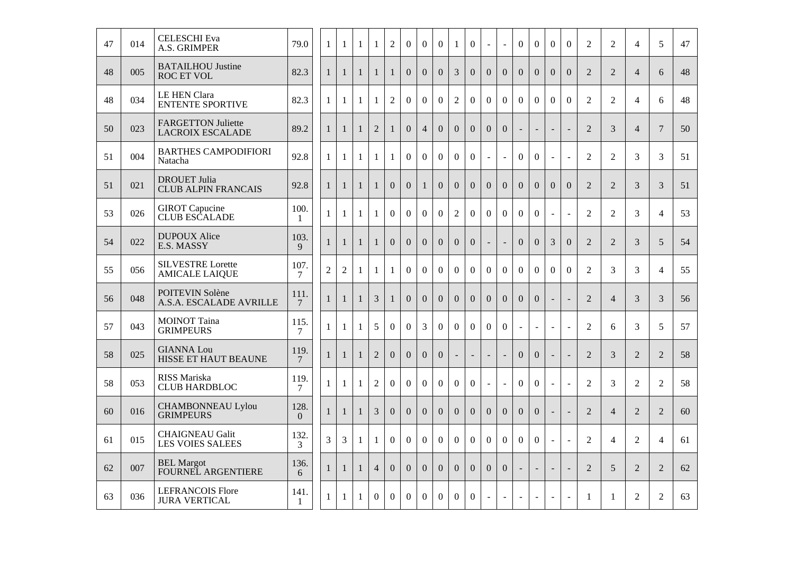| 47 | 014 | <b>CELESCHI</b> Eva<br>A.S. GRIMPER                  | 79.0                 | 1              | $\mathbf{1}$   | $\mathbf{1}$ | $\mathbf{1}$   | $\mathbf{2}$     | $\overline{0}$   | $\mathbf{0}$     | $\boldsymbol{0}$ | 1                        | $\Omega$                 | $\blacksquare$           | $\sim$                   | $\Omega$                 | $\Omega$                 | $\Omega$                 | $\Omega$                 | 2              | 2              | $\overline{4}$ | 5              | 47 |
|----|-----|------------------------------------------------------|----------------------|----------------|----------------|--------------|----------------|------------------|------------------|------------------|------------------|--------------------------|--------------------------|--------------------------|--------------------------|--------------------------|--------------------------|--------------------------|--------------------------|----------------|----------------|----------------|----------------|----|
| 48 | 005 | <b>BATAILHOU Justine</b><br><b>ROC ET VOL</b>        | 82.3                 | $\mathbf{1}$   | $\mathbf{1}$   | $\mathbf{1}$ | $\mathbf{1}$   | $\mathbf{1}$     | $\overline{0}$   | $\overline{0}$   | $\overline{0}$   | $\overline{3}$           | $\overline{0}$           | $\overline{0}$           | $\overline{0}$           | $\overline{0}$           | $\overline{0}$           | $\mathbf{0}$             | $\Omega$                 | $\overline{2}$ | $\overline{2}$ | $\overline{4}$ | 6              | 48 |
| 48 | 034 | <b>LE HEN Clara</b><br><b>ENTENTE SPORTIVE</b>       | 82.3                 | $\mathbf{1}$   | $\mathbf{1}$   | $\mathbf{1}$ | 1              | $\overline{2}$   | $\overline{0}$   | $\mathbf{0}$     | $\overline{0}$   | $\overline{2}$           | $\overline{0}$           | $\Omega$                 | $\Omega$                 | $\Omega$                 | $\theta$                 | $\Omega$                 | $\Omega$                 | 2              | $\overline{2}$ | $\overline{4}$ | 6              | 48 |
| 50 | 023 | <b>FARGETTON Juliette</b><br><b>LACROIX ESCALADE</b> | 89.2                 | $\mathbf{1}$   | $\mathbf{1}$   | $\mathbf{1}$ | $\overline{2}$ | $\mathbf{1}$     | $\overline{0}$   | $\overline{4}$   | $\overline{0}$   | $\overline{0}$           | $\overline{0}$           | $\overline{0}$           | $\overline{0}$           | $\Box$                   | $\overline{\phantom{a}}$ | $\blacksquare$           | $\bar{a}$                | $\overline{2}$ | 3              | $\overline{4}$ | $\overline{7}$ | 50 |
| 51 | 004 | <b>BARTHES CAMPODIFIORI</b><br>Natacha               | 92.8                 | $\mathbf{1}$   | $\mathbf{1}$   | $\mathbf{1}$ | $\mathbf{1}$   | $\mathbf{1}$     | $\overline{0}$   | $\overline{0}$   | $\overline{0}$   | $\overline{0}$           | $\overline{0}$           | $\overline{a}$           | $\sim$                   | $\overline{0}$           | $\overline{0}$           | $\blacksquare$           | $\sim$                   | 2              | $\overline{2}$ | 3              | 3              | 51 |
| 51 | 021 | <b>DROUET Julia</b><br><b>CLUB ALPIN FRANCAIS</b>    | 92.8                 | $\mathbf{1}$   | $\mathbf{1}$   | $\mathbf{1}$ | $\mathbf{1}$   | $\overline{0}$   | $\overline{0}$   | $\mathbf{1}$     | $\overline{0}$   | $\mathbf{0}$             | $\Omega$                 | $\Omega$                 | $\Omega$                 | $\Omega$                 | $\theta$                 | $\Omega$                 | $\theta$                 | 2              | $\overline{2}$ | 3              | 3              | 51 |
| 53 | 026 | <b>GIROT</b> Capucine<br><b>CLUB ESCALADE</b>        | 100.<br>$\mathbf{1}$ | $\mathbf{1}$   | $\mathbf{1}$   | $\mathbf{1}$ | $\mathbf{1}$   | $\overline{0}$   | $\boldsymbol{0}$ | $\overline{0}$   | $\overline{0}$   | $\overline{2}$           | $\overline{0}$           | $\overline{0}$           | $\overline{0}$           | $\overline{0}$           | $\overline{0}$           | $\overline{\phantom{a}}$ | $\sim$                   | $\overline{2}$ | $\overline{2}$ | $\overline{3}$ | $\overline{4}$ | 53 |
| 54 | 022 | <b>DUPOUX Alice</b><br>E.S. MASSY                    | 103.<br>9            | $\mathbf{1}$   | $\mathbf{1}$   | $\mathbf{1}$ | $\mathbf{1}$   | $\Omega$         | $\Omega$         | $\overline{0}$   | $\overline{0}$   | $\overline{0}$           | $\overline{0}$           |                          | $\mathbf{r}$             | $\overline{0}$           | $\Omega$                 | 3                        | $\overline{0}$           | $\overline{2}$ | $\overline{2}$ | 3              | 5              | 54 |
| 55 | 056 | <b>SILVESTRE</b> Lorette<br><b>AMICALE LAIQUE</b>    | 107.<br>$\tau$       | $\overline{2}$ | $\overline{2}$ | $\mathbf{1}$ | $\mathbf{1}$   | $\mathbf{1}$     | $\overline{0}$   | $\overline{0}$   | $\overline{0}$   | $\overline{0}$           | $\overline{0}$           | $\overline{0}$           | $\overline{0}$           | $\overline{0}$           | $\overline{0}$           | $\overline{0}$           | $\overline{0}$           | $\overline{2}$ | 3              | 3              | $\overline{4}$ | 55 |
| 56 | 048 | POITEVIN Solène<br>A.S.A. ESCALADE AVRILLE           | 111.<br>7            | $\mathbf{1}$   | $\mathbf{1}$   | $\mathbf{1}$ | 3              | $\mathbf{1}$     | $\overline{0}$   | $\overline{0}$   | $\overline{0}$   | $\overline{0}$           | $\overline{0}$           | $\overline{0}$           | $\overline{0}$           | $\overline{0}$           | $\overline{0}$           | $\sim$                   | $\sim$                   | $\overline{2}$ | $\overline{4}$ | $\overline{3}$ | 3              | 56 |
| 57 | 043 | <b>MOINOT Taina</b><br><b>GRIMPEURS</b>              | 115.<br>7            | $\mathbf{1}$   | $\mathbf{1}$   | $\mathbf{1}$ | 5              | $\overline{0}$   | $\boldsymbol{0}$ | 3                | $\overline{0}$   | $\overline{0}$           | $\mathbf{0}$             | $\overline{0}$           | $\overline{0}$           | $\overline{\phantom{a}}$ | $\sim$                   | $\mathbf{r}$             | $\sim$                   | $\overline{2}$ | 6              | $\overline{3}$ | 5              | 57 |
| 58 | 025 | <b>GIANNA Lou</b><br>HISSE ET HAUT BEAUNE            | 119.<br>$\tau$       | $\mathbf{1}$   | $\mathbf{1}$   | $\mathbf{1}$ | $\overline{2}$ | $\Omega$         | $\Omega$         | $\Omega$         | $\overline{0}$   | $\overline{\phantom{a}}$ | $\overline{\phantom{a}}$ | $\blacksquare$           | $\overline{\phantom{a}}$ | $\overline{0}$           | $\overline{0}$           | $\overline{a}$           | $\blacksquare$           | 2              | 3              | 2              | $\overline{2}$ | 58 |
| 58 | 053 | RISS Mariska<br><b>CLUB HARDBLOC</b>                 | 119.<br>$\tau$       | $\mathbf{1}$   | $\mathbf{1}$   | $\mathbf{1}$ | $\overline{2}$ | $\overline{0}$   | $\boldsymbol{0}$ | $\mathbf{0}$     | $\overline{0}$   | $\mathbf{0}$             | $\overline{0}$           | $\overline{\phantom{a}}$ | $\overline{a}$           | $\Omega$                 | $\Omega$                 | $\sim$                   | $\overline{\phantom{a}}$ | $\overline{2}$ | 3              | $\overline{2}$ | $\overline{2}$ | 58 |
| 60 | 016 | <b>CHAMBONNEAU Lylou</b><br><b>GRIMPEURS</b>         | 128.<br>$\Omega$     | $\mathbf{1}$   | $\mathbf{1}$   | $\mathbf{1}$ | 3              | $\overline{0}$   | $\overline{0}$   | $\overline{0}$   | $\overline{0}$   | $\overline{0}$           | $\overline{0}$           | $\overline{0}$           | $\overline{0}$           | $\overline{0}$           | $\overline{0}$           | $\equiv$                 | $\overline{a}$           | 2              | $\overline{4}$ | 2              | $\overline{2}$ | 60 |
| 61 | 015 | <b>CHAIGNEAU Galit</b><br><b>LES VOIES SALEES</b>    | 132.<br>3            | $\overline{3}$ | 3              | $\mathbf{1}$ | $\mathbf{1}$   | $\overline{0}$   | $\overline{0}$   | $\overline{0}$   | $\overline{0}$   | $\overline{0}$           | $\overline{0}$           | $\overline{0}$           | $\overline{0}$           | $\mathbf{0}$             | $\overline{0}$           | $\mathbb{L}$             | $\sim$                   | $\overline{2}$ | $\overline{4}$ | $\overline{2}$ | $\overline{4}$ | 61 |
| 62 | 007 | <b>BEL Margot</b><br>FOURNEL ARGENTIERE              | 136.<br>6            | $\mathbf{1}$   | $\mathbf{1}$   | $\mathbf{1}$ | $\overline{4}$ | $\boldsymbol{0}$ | $\boldsymbol{0}$ | $\boldsymbol{0}$ | $\boldsymbol{0}$ | $\Omega$                 | $\Omega$                 | $\overline{0}$           | $\overline{0}$           |                          | $\overline{a}$           | $\blacksquare$           | $\blacksquare$           | $\overline{2}$ | $\mathfrak{S}$ | $\overline{2}$ | 2              | 62 |
| 63 | 036 | <b>LEFRANCOIS Flore</b><br><b>JURA VERTICAL</b>      | 141.<br>$\mathbf{1}$ | $\mathbf{1}$   | $\mathbf{1}$   | $\mathbf{1}$ | $\Omega$       | $\Omega$         | $\Omega$         | $\Omega$         | $\overline{0}$   | $\overline{0}$           | $\overline{0}$           | $\blacksquare$           | $\blacksquare$           | $\blacksquare$           | $\blacksquare$           |                          | $\blacksquare$           | 1              | $\mathbf{1}$   | $\overline{2}$ | $\overline{2}$ | 63 |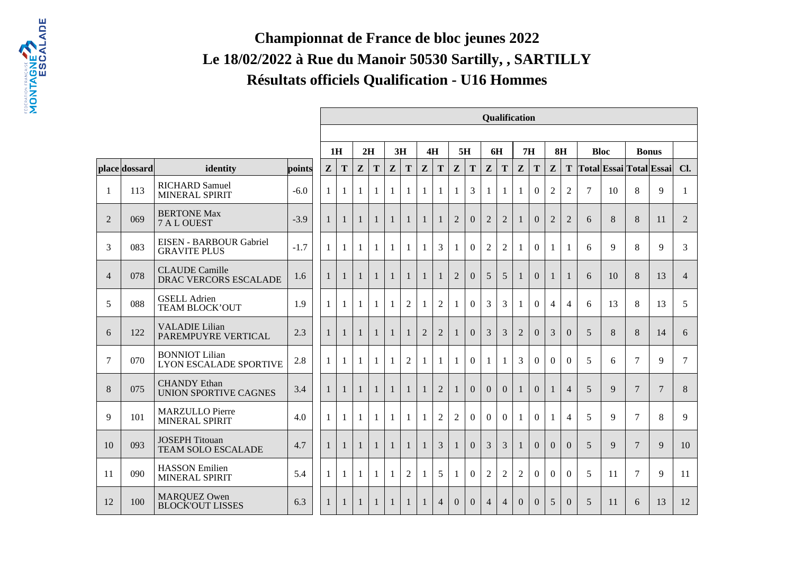## **Championnat de France de bloc jeunes 2022 Le 18/02/2022 à Rue du Manoir 50530 Sartilly, , SARTILLYRésultats officiels Qualification - U16 Hommes**

|                |               |                                                        |        |                                                                    |                |              |              |              |                |                |                |                |                | <b>Qualification</b> |                |                |                |                |                  |                |    |                |                         |                |
|----------------|---------------|--------------------------------------------------------|--------|--------------------------------------------------------------------|----------------|--------------|--------------|--------------|----------------|----------------|----------------|----------------|----------------|----------------------|----------------|----------------|----------------|----------------|------------------|----------------|----|----------------|-------------------------|----------------|
|                |               |                                                        |        | 2H<br>3H<br>4H<br>5H<br><b>6H</b><br>7H<br>8H<br>1H<br><b>Bloc</b> |                |              |              |              |                |                |                |                |                |                      |                |                |                |                |                  |                |    |                |                         |                |
|                |               |                                                        |        |                                                                    |                |              |              |              |                |                |                |                |                |                      |                |                |                |                |                  |                |    | <b>Bonus</b>   |                         |                |
|                | place dossard | identity                                               | points | Z                                                                  | T              | $\mathbf{Z}$ | T            | $\mathbf{Z}$ | T              | $\mathbf{Z}$   | T              | $\mathbf{Z}$   | T              | $\mathbf{Z}$         | T              | ${\bf z}$      | T              | Z              | Т                |                |    |                | Total Essai Total Essai | Cl.            |
| -1             | 113           | <b>RICHARD Samuel</b><br>MINERAL SPIRIT                | $-6.0$ | 1                                                                  | 1              | 1            | 1            | $\mathbf{1}$ | $\mathbf{1}$   | $\mathbf{1}$   | 1              | $\mathbf{1}$   | 3              | $\mathbf{1}$         | 1              | $\mathbf{1}$   | $\mathbf{0}$   | $\overline{2}$ | $\overline{2}$   | $\overline{7}$ | 10 | 8              | 9                       | $\mathbf{1}$   |
| $\overline{2}$ | 069           | <b>BERTONE Max</b><br>7 A L OUEST                      | $-3.9$ | $\mathbf{1}$                                                       | $\mathbf{1}$   | $\mathbf{1}$ | $\mathbf{1}$ | $\mathbf{1}$ | $\mathbf{1}$   | 1              | 1              | $\overline{2}$ | $\Omega$       | $\overline{2}$       | $\overline{2}$ | 1              | $\Omega$       | $\overline{2}$ | $\overline{2}$   | 6              | 8  | 8              | 11                      | $\overline{2}$ |
| 3              | 083           | EISEN - BARBOUR Gabriel<br><b>GRAVITE PLUS</b>         | $-1.7$ | $\mathbf{1}$                                                       | $\mathbf{1}$   | $\mathbf{1}$ | $\mathbf{1}$ | $\mathbf{1}$ | $\mathbf{1}$   | $\mathbf{1}$   | $\overline{3}$ | 1              | $\overline{0}$ | $\overline{2}$       | $\overline{2}$ | 1              | $\mathbf{0}$   | 1              | 1                | 6              | 9  | 8              | 9                       | 3              |
| $\overline{4}$ | 078           | <b>CLAUDE</b> Camille<br>DRAC VERCORS ESCALADE         | 1.6    | $\overline{1}$                                                     | $\mathbf{1}$   | $\mathbf{1}$ | $\mathbf{1}$ | $\mathbf{1}$ | $\mathbf{1}$   | $\mathbf{1}$   | $\mathbf{1}$   | $\overline{2}$ | $\Omega$       | 5                    | 5              | $\mathbf{1}$   | $\overline{0}$ | $\mathbf{1}$   | $\mathbf{1}$     | 6              | 10 | 8              | 13                      | $\overline{4}$ |
| 5              | 088           | <b>GSELL Adrien</b><br><b>TEAM BLOCK'OUT</b>           | 1.9    | 1                                                                  | $\mathbf{1}$   | $\mathbf{1}$ | $\mathbf{1}$ | $\mathbf{1}$ | $\overline{2}$ | 1              | $\overline{2}$ | 1              | $\Omega$       | 3                    | 3              | $\mathbf{1}$   | $\Omega$       | $\overline{4}$ | $\overline{4}$   | 6              | 13 | 8              | 13                      | 5              |
| 6              | 122           | <b>VALADIE Lilian</b><br>PAREMPUYRE VERTICAL           | 2.3    | $\mathbf{1}$                                                       | $\mathbf{1}$   | $\mathbf{1}$ | $\mathbf{1}$ | $\mathbf{1}$ | 1              | $\overline{2}$ | $\overline{2}$ |                | $\mathbf{0}$   | 3                    | 3              | $\overline{2}$ | $\Omega$       | 3              | $\boldsymbol{0}$ | 5              | 8  | 8              | 14                      | 6              |
| 7              | 070           | <b>BONNIOT Lilian</b><br><b>LYON ESCALADE SPORTIVE</b> | 2.8    | $\mathbf{1}$                                                       | $\mathbf{1}$   | $\mathbf{1}$ | $\mathbf{1}$ | $\mathbf{1}$ | $\overline{2}$ | 1              | 1              | -1             | $\Omega$       | $\mathbf{1}$         | $\mathbf{1}$   | $\overline{3}$ | $\Omega$       | $\Omega$       | $\Omega$         | 5              | 6  | $\tau$         | 9                       | $\overline{7}$ |
| 8              | 075           | <b>CHANDY</b> Ethan<br><b>UNION SPORTIVE CAGNES</b>    | 3.4    | $\overline{1}$                                                     | $\overline{1}$ | $\mathbf{1}$ | $\mathbf{1}$ | $\mathbf{1}$ | $\mathbf{1}$   | $\mathbf{1}$   | $\overline{2}$ | 1              | $\Omega$       | $\Omega$             | $\Omega$       | 1              | $\Omega$       | 1              | $\overline{4}$   | 5              | 9  | $\overline{7}$ | $\overline{7}$          | $8\,$          |
| 9              | 101           | <b>MARZULLO</b> Pierre<br>MINERAL SPIRIT               | 4.0    | $\mathbf{1}$                                                       | 1              | 1            | $\mathbf{1}$ | $\mathbf{1}$ | 1              | $\mathbf{1}$   | $\overline{2}$ | $\overline{2}$ | $\theta$       | $\Omega$             | $\Omega$       | $\mathbf{1}$   | $\Omega$       | -1             | $\overline{4}$   | 5              | 9  | $\tau$         | 8                       | 9              |
| 10             | 093           | <b>JOSEPH Titouan</b><br><b>TEAM SOLO ESCALADE</b>     | 4.7    | $\mathbf{1}$                                                       | $\mathbf{1}$   | $\mathbf{1}$ | $\mathbf{1}$ | $\mathbf{1}$ | $\mathbf{1}$   |                | $\overline{3}$ | $\mathbf{1}$   | $\Omega$       | 3                    | $\overline{3}$ | $\mathbf{1}$   | $\Omega$       | $\Omega$       | $\Omega$         | 5              | 9  | $\tau$         | 9                       | 10             |
| 11             | 090           | <b>HASSON</b> Emilien<br>MINERAL SPIRIT                | 5.4    | 1                                                                  | $\mathbf{1}$   | 1            | 1            | $\mathbf{1}$ | $\overline{2}$ | $\mathbf{1}$   | 5              | 1              | $\Omega$       | $\overline{2}$       | $\overline{2}$ | $\overline{2}$ | $\Omega$       | $\Omega$       | $\Omega$         | 5              | 11 | $\tau$         | 9                       | 11             |
| 12             | 100           | <b>MARQUEZ Owen</b><br><b>BLOCK'OUT LISSES</b>         | 6.3    | 1                                                                  | 1              | 1            | $\mathbf{1}$ | $\mathbf{1}$ | $\mathbf{1}$   | 1              | $\overline{4}$ | $\overline{0}$ | $\overline{0}$ | $\overline{4}$       | $\overline{4}$ | $\Omega$       | $\Omega$       | 5              | $\Omega$         | 5              | 11 | 6              | 13                      | 12             |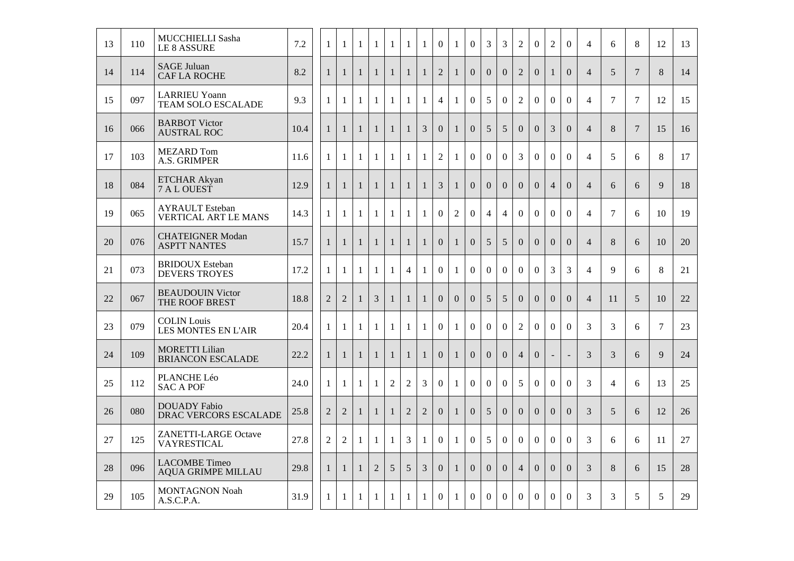| 13 | 110 | MUCCHIELLI Sasha<br><b>LE 8 ASSURE</b>                | 7.2  | 1              | $\mathbf{1}$   | $\mathbf{1}$ | 1              | 1              | $\mathbf{1}$   | 1              | $\overline{0}$   | $\mathbf{1}$   | $\overline{0}$   | 3                | 3                | $\overline{2}$   | $\overline{0}$ | $\mathbf{2}$   | $\boldsymbol{0}$         | $\overline{4}$ | 6              | 8              | 12     | 13 |
|----|-----|-------------------------------------------------------|------|----------------|----------------|--------------|----------------|----------------|----------------|----------------|------------------|----------------|------------------|------------------|------------------|------------------|----------------|----------------|--------------------------|----------------|----------------|----------------|--------|----|
| 14 | 114 | <b>SAGE Juluan</b><br><b>CAF LA ROCHE</b>             | 8.2  | $\mathbf{1}$   | $\mathbf{1}$   | $\mathbf{1}$ | $\mathbf{1}$   | $\mathbf{1}$   | $\mathbf{1}$   | $\mathbf{1}$   | $\overline{2}$   | $\mathbf{1}$   | $\overline{0}$   | $\overline{0}$   | $\Omega$         | $\overline{2}$   | $\overline{0}$ | $\mathbf{1}$   | $\overline{0}$           | $\overline{4}$ | 5              | $\overline{7}$ | 8      | 14 |
| 15 | 097 | <b>LARRIEU Yoann</b><br>TEAM SOLO ESCALADE            | 9.3  | $\mathbf{1}$   | $\mathbf{1}$   | $\mathbf{1}$ | $\mathbf{1}$   | $\mathbf{1}$   | $\mathbf{1}$   | $\mathbf{1}$   | $\overline{4}$   | $\mathbf{1}$   | $\overline{0}$   | 5                | $\boldsymbol{0}$ | $\overline{2}$   | $\overline{0}$ | $\overline{0}$ | $\mathbf{0}$             | $\overline{4}$ | $\overline{7}$ | $\tau$         | 12     | 15 |
| 16 | 066 | <b>BARBOT Victor</b><br><b>AUSTRAL ROC</b>            | 10.4 | $\mathbf{1}$   | $\mathbf{1}$   | $\mathbf{1}$ | $\mathbf{1}$   | $\mathbf{1}$   | $\mathbf{1}$   | $\overline{3}$ | $\overline{0}$   | $\mathbf{1}$   | $\overline{0}$   | 5                | 5                | $\Omega$         | $\Omega$       | 3              | $\Omega$                 | $\overline{4}$ | 8              | $\tau$         | 15     | 16 |
| 17 | 103 | <b>MEZARD</b> Tom<br>A.S. GRIMPER                     | 11.6 | $\mathbf{1}$   | 1              | $\mathbf{1}$ | $\mathbf{1}$   | $\mathbf{1}$   | $\mathbf{1}$   | $\mathbf{1}$   | $\overline{2}$   | $\mathbf{1}$   | $\overline{0}$   | $\overline{0}$   | $\overline{0}$   | $\overline{3}$   | $\overline{0}$ | $\overline{0}$ | $\overline{0}$           | $\overline{4}$ | 5              | 6              | 8      | 17 |
| 18 | 084 | <b>ETCHAR Akyan</b><br>7 A L OUEST                    | 12.9 | $\mathbf{1}$   | $\mathbf{1}$   | $\mathbf{1}$ | $\mathbf{1}$   | $\mathbf{1}$   | $\mathbf{1}$   | $\mathbf{1}$   | 3                | $\mathbf{1}$   | $\boldsymbol{0}$ | $\overline{0}$   | $\overline{0}$   | $\overline{0}$   | $\overline{0}$ | $\overline{4}$ | $\overline{0}$           | $\overline{4}$ | 6              | 6              | 9      | 18 |
| 19 | 065 | <b>AYRAULT</b> Esteban<br><b>VERTICAL ART LE MANS</b> | 14.3 | 1              | $\mathbf{1}$   | $\mathbf{1}$ | $\mathbf{1}$   | $\mathbf{1}$   | $\mathbf{1}$   | $\mathbf{1}$   | $\mathbf{0}$     | $\overline{2}$ | $\overline{0}$   | $\overline{4}$   | $\overline{4}$   | $\boldsymbol{0}$ | $\overline{0}$ | $\overline{0}$ | $\mathbf{0}$             | $\overline{4}$ | $\tau$         | 6              | 10     | 19 |
| 20 | 076 | <b>CHATEIGNER Modan</b><br><b>ASPTT NANTES</b>        | 15.7 | $\mathbf{1}$   | $\mathbf{1}$   | $\mathbf{1}$ | $\mathbf{1}$   | $\mathbf{1}$   | $\mathbf{1}$   | $\mathbf{1}$   | $\overline{0}$   | $\mathbf{1}$   | $\overline{0}$   | 5                | 5                | $\Omega$         | $\Omega$       | $\Omega$       | $\Omega$                 | $\overline{4}$ | 8              | 6              | 10     | 20 |
| 21 | 073 | <b>BRIDOUX</b> Esteban<br><b>DEVERS TROYES</b>        | 17.2 | $\mathbf{1}$   | $\mathbf{1}$   | 1            | $\mathbf{1}$   | $\mathbf{1}$   | $\overline{4}$ | 1              | $\overline{0}$   | $\mathbf{1}$   | $\overline{0}$   | $\Omega$         | $\overline{0}$   | $\overline{0}$   | $\overline{0}$ | 3              | 3                        | $\overline{4}$ | 9              | 6              | 8      | 21 |
| 22 | 067 | <b>BEAUDOUIN Victor</b><br>THE ROOF BREST             | 18.8 | $\overline{2}$ | $\overline{2}$ | $\mathbf{1}$ | $\overline{3}$ | $\mathbf{1}$   | $\mathbf{1}$   | $\mathbf{1}$   | $\overline{0}$   | $\overline{0}$ | $\overline{0}$   | 5                | 5                | $\overline{0}$   | $\overline{0}$ | $\overline{0}$ | $\overline{0}$           | $\overline{4}$ | 11             | 5              | 10     | 22 |
| 23 | 079 | <b>COLIN Louis</b><br><b>LES MONTES EN L'AIR</b>      | 20.4 | 1              | $\mathbf{1}$   | $\mathbf{1}$ | $\mathbf{1}$   | $\mathbf{1}$   | $\mathbf{1}$   | $\mathbf{1}$   | $\boldsymbol{0}$ | $\mathbf{1}$   | $\boldsymbol{0}$ | $\boldsymbol{0}$ | $\boldsymbol{0}$ | $\overline{2}$   | $\overline{0}$ | $\mathbf{0}$   | $\boldsymbol{0}$         | 3              | 3              | 6              | $\tau$ | 23 |
| 24 | 109 | <b>MORETTI Lilian</b><br><b>BRIANCON ESCALADE</b>     | 22.2 | $\mathbf{1}$   | $\mathbf{1}$   | $\mathbf{1}$ | $\mathbf{1}$   | $\mathbf{1}$   | $\mathbf{1}$   | $\mathbf{1}$   | $\overline{0}$   | $\mathbf{1}$   | $\Omega$         | $\Omega$         | $\Omega$         | $\overline{4}$   | $\Omega$       | $\blacksquare$ | $\overline{\phantom{a}}$ | 3              | 3              | 6              | 9      | 24 |
| 25 | 112 | PLANCHE Léo<br><b>SAC A POF</b>                       | 24.0 | $\mathbf{1}$   | $\mathbf{1}$   | $\mathbf{1}$ | 1              | $\overline{2}$ | $\overline{2}$ | 3              | $\overline{0}$   | $\mathbf{1}$   | $\overline{0}$   | $\Omega$         | $\overline{0}$   | 5                | $\overline{0}$ | $\mathbf{0}$   | $\overline{0}$           | $\overline{3}$ | $\overline{4}$ | 6              | 13     | 25 |
| 26 | 080 | <b>DOUADY Fabio</b><br>DRAC VERCORS ESCALADE          | 25.8 | 2              | $\overline{2}$ | $\mathbf{1}$ | $\mathbf{1}$   | $\mathbf{1}$   | $\overline{2}$ | $\overline{2}$ | $\overline{0}$   | $\mathbf{1}$   | $\overline{0}$   | 5                | $\overline{0}$   | $\overline{0}$   | $\overline{0}$ | $\overline{0}$ | $\overline{0}$           | 3              | 5              | 6              | 12     | 26 |
| 27 | 125 | ZANETTI-LARGE Octave<br><b>VAYRESTICAL</b>            | 27.8 | $\overline{2}$ | $\overline{2}$ | $\mathbf{1}$ | $\mathbf{1}$   | $\mathbf{1}$   | $\mathfrak{Z}$ | $\mathbf{1}$   | $\boldsymbol{0}$ | $\mathbf{1}$   | $\overline{0}$   | 5                | $\overline{0}$   | $\overline{0}$   | $\overline{0}$ | $\overline{0}$ | $\mathbf{0}$             | 3              | 6              | 6              | 11     | 27 |
| 28 | 096 | <b>LACOMBE Timeo</b><br><b>AQUA GRIMPE MILLAU</b>     | 29.8 | $\mathbf{1}$   | $\mathbf{1}$   | $\mathbf{1}$ | $\overline{2}$ | 5              | 5              | $\mathfrak{Z}$ | $\overline{0}$   | $\mathbf{1}$   | $\overline{0}$   | $\overline{0}$   | $\Omega$         | $\overline{4}$   | $\Omega$       | $\Omega$       | $\Omega$                 | 3              | 8              | 6              | 15     | 28 |
| 29 | 105 | <b>MONTAGNON Noah</b><br>A.S.C.P.A.                   | 31.9 | $\mathbf{1}$   | $\mathbf{1}$   | $\mathbf{1}$ | $\mathbf{1}$   | $\mathbf{1}$   | $\mathbf{1}$   | 1              | $\overline{0}$   | $\mathbf{1}$   | $\overline{0}$   | $\overline{0}$   | $\overline{0}$   | $\overline{0}$   | $\overline{0}$ | $\mathbf{0}$   | $\overline{0}$           | 3              | 3              | 5              | 5      | 29 |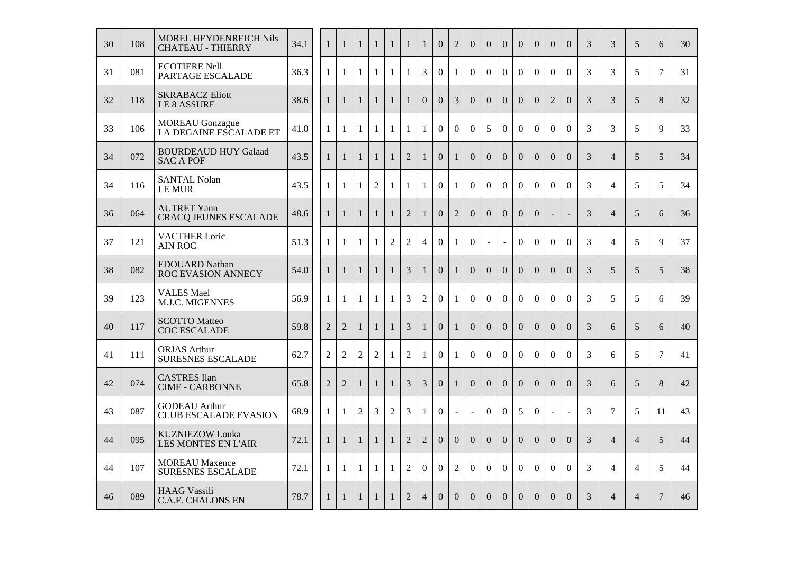| 30 | 108 | MOREL HEYDENREICH Nils<br><b>CHATEAU - THIERRY</b>   | 34.1 | $\mathbf{1}$   | $\mathbf{1}$   | $\mathbf{1}$   | $\mathbf{1}$   | $\mathbf{1}$   | $\mathbf{1}$   | $\mathbf{1}$   | $\overline{0}$   | $\mathbf{2}$   | $\theta$         | $\overline{0}$ | $\overline{0}$ | $\overline{0}$ | $\overline{0}$   | $\overline{0}$   | $\overline{0}$           | 3              | 3              | 5              | 6              | 30 |
|----|-----|------------------------------------------------------|------|----------------|----------------|----------------|----------------|----------------|----------------|----------------|------------------|----------------|------------------|----------------|----------------|----------------|------------------|------------------|--------------------------|----------------|----------------|----------------|----------------|----|
| 31 | 081 | <b>ECOTIERE Nell</b><br>PARTAGE ESCALADE             | 36.3 | $\mathbf{1}$   | $\mathbf{1}$   | 1              | $\mathbf{1}$   | $\mathbf{1}$   | $\mathbf{1}$   | $\overline{3}$ | $\overline{0}$   | $\mathbf{1}$   | $\overline{0}$   | $\overline{0}$ | $\overline{0}$ | $\overline{0}$ | $\boldsymbol{0}$ | $\mathbf{0}$     | $\mathbf{0}$             | 3              | 3              | 5              | $\overline{7}$ | 31 |
| 32 | 118 | <b>SKRABACZ Eliott</b><br>LE 8 ASSURE                | 38.6 | $\mathbf{1}$   | $\mathbf{1}$   | $\mathbf{1}$   | $\mathbf{1}$   | $\mathbf{1}$   | $\mathbf{1}$   | $\overline{0}$ | $\overline{0}$   | 3              | $\overline{0}$   | $\Omega$       | $\Omega$       | $\Omega$       | $\Omega$         | $\overline{2}$   | $\Omega$                 | $\overline{3}$ | 3              | $\mathfrak{S}$ | 8              | 32 |
| 33 | 106 | <b>MOREAU</b> Gonzague<br>LA DEGAINE ESCALADE ET     | 41.0 | $\mathbf{1}$   | $\mathbf{1}$   | 1              | 1              | $\mathbf{1}$   | $\mathbf{1}$   | $\mathbf{1}$   | $\overline{0}$   | $\overline{0}$ | $\overline{0}$   | 5              | $\Omega$       | $\Omega$       | $\overline{0}$   | $\overline{0}$   | $\overline{0}$           | 3              | 3              | 5              | 9              | 33 |
| 34 | 072 | <b>BOURDEAUD HUY Galaad</b><br><b>SAC A POF</b>      | 43.5 | $\mathbf{1}$   | $\mathbf{1}$   | $\mathbf{1}$   | $\mathbf{1}$   | $\mathbf{1}$   | $\overline{2}$ | $\mathbf{1}$   | $\overline{0}$   | $\mathbf{1}$   | $\overline{0}$   | $\overline{0}$ | $\overline{0}$ | $\overline{0}$ | $\overline{0}$   | $\overline{0}$   | $\overline{0}$           | 3              | $\overline{4}$ | 5              | 5              | 34 |
| 34 | 116 | <b>SANTAL Nolan</b><br><b>LE MUR</b>                 | 43.5 | $\mathbf{1}$   | 1              | $\mathbf{1}$   | $\sqrt{2}$     | $\mathbf{1}$   | $\mathbf{1}$   | $\mathbf{1}$   | $\overline{0}$   | $\mathbf{1}$   | $\boldsymbol{0}$ | $\overline{0}$ | $\overline{0}$ | $\overline{0}$ | $\Omega$         | $\mathbf{0}$     | $\overline{0}$           | 3              | $\overline{4}$ | 5              | 5              | 34 |
| 36 | 064 | <b>AUTRET Yann</b><br><b>CRACQ JEUNES ESCALADE</b>   | 48.6 | $\mathbf{1}$   | $\mathbf{1}$   | $\mathbf{1}$   | $\mathbf{1}$   | $\mathbf{1}$   | $\overline{2}$ | $\mathbf{1}$   | $\overline{0}$   | $\overline{2}$ | $\overline{0}$   | $\Omega$       | $\Omega$       | $\Omega$       | $\overline{0}$   |                  | $\overline{\phantom{a}}$ | 3              | $\overline{4}$ | $\overline{5}$ | 6              | 36 |
| 37 | 121 | <b>VACTHER Loric</b><br><b>AIN ROC</b>               | 51.3 | $\mathbf{1}$   | $\mathbf{1}$   | $\mathbf{1}$   | $\mathbf{1}$   | $\overline{2}$ | $\overline{2}$ | $\overline{4}$ | $\overline{0}$   | $\mathbf{1}$   | $\overline{0}$   | $\sim$         | $\sim$         | $\overline{0}$ | $\overline{0}$   | $\boldsymbol{0}$ | $\overline{0}$           | 3              | $\overline{4}$ | 5              | 9              | 37 |
| 38 | 082 | <b>EDOUARD Nathan</b><br>ROC EVASION ANNECY          | 54.0 | $\mathbf{1}$   | $\mathbf{1}$   | $\mathbf{1}$   | $\mathbf{1}$   | $\mathbf{1}$   | 3              | $\mathbf{1}$   | $\overline{0}$   | $\mathbf{1}$   | $\Omega$         | $\overline{0}$ | $\Omega$       | $\Omega$       | $\Omega$         | $\Omega$         | $\overline{0}$           | 3              | 5              | $\overline{5}$ | 5              | 38 |
| 39 | 123 | <b>VALES Mael</b><br>M.J.C. MIGENNES                 | 56.9 | $\mathbf{1}$   | $\mathbf{1}$   | -1             | $\mathbf{1}$   | $\mathbf{1}$   | 3              | $\overline{2}$ | $\overline{0}$   | $\mathbf{1}$   | $\overline{0}$   | $\overline{0}$ | $\overline{0}$ | $\overline{0}$ | $\overline{0}$   | $\mathbf{0}$     | $\overline{0}$           | 3              | 5              | 5              | 6              | 39 |
| 40 | 117 | <b>SCOTTO Matteo</b><br><b>COC ESCALADE</b>          | 59.8 | $\overline{2}$ | $\overline{2}$ | $\mathbf{1}$   | $\mathbf{1}$   | $\mathbf{1}$   | 3              | $\mathbf{1}$   | $\boldsymbol{0}$ | $\mathbf{1}$   | $\theta$         | $\overline{0}$ | $\overline{0}$ | $\overline{0}$ | $\overline{0}$   | $\overline{0}$   | $\theta$                 | 3              | 6              | 5              | 6              | 40 |
| 41 | 111 | <b>ORJAS</b> Arthur<br><b>SURESNES ESCALADE</b>      | 62.7 | $\overline{2}$ | $\overline{2}$ | $\overline{2}$ | $\overline{2}$ | $\mathbf{1}$   | $\overline{2}$ | $\mathbf{1}$   | $\overline{0}$   | $\mathbf{1}$   | $\overline{0}$   | $\mathbf{0}$   | $\overline{0}$ | $\overline{0}$ | $\boldsymbol{0}$ | $\mathbf{0}$     | $\overline{0}$           | 3              | 6              | 5              | $\tau$         | 41 |
| 42 | 074 | <b>CASTRES</b> Ilan<br><b>CIME - CARBONNE</b>        | 65.8 | $\overline{2}$ | $\overline{2}$ | $\mathbf{1}$   | $\mathbf{1}$   | $\mathbf{1}$   | $\overline{3}$ | $\overline{3}$ | $\overline{0}$   | $\mathbf{1}$   | $\overline{0}$   | $\Omega$       | $\Omega$       | $\Omega$       | $\Omega$         | $\Omega$         | $\Omega$                 | $\overline{3}$ | 6              | $\mathfrak{S}$ | 8              | 42 |
| 43 | 087 | <b>GODEAU</b> Arthur<br><b>CLUB ESCALADE EVASION</b> | 68.9 | $\mathbf{1}$   | $\mathbf{1}$   | $\overline{2}$ | $\overline{3}$ | $\overline{2}$ | $\overline{3}$ | $\mathbf{1}$   | $\overline{0}$   | $\omega$       | $\mathbb{Z}^2$   | $\overline{0}$ | $\overline{0}$ | 5              | $\overline{0}$   | $\mathbb{Z}^2$   | $\mathbb{Z}^2$           | 3              | $\overline{7}$ | 5              | 11             | 43 |
| 44 | 095 | <b>KUZNIEZOW Louka</b><br><b>LES MONTES EN L'AIR</b> | 72.1 | $\mathbf{1}$   | $\mathbf{1}$   | $\mathbf{1}$   | $\mathbf{1}$   | $\mathbf{1}$   | $\overline{2}$ | $\overline{2}$ | $\overline{0}$   | $\overline{0}$ | $\overline{0}$   | $\overline{0}$ | $\overline{0}$ | $\overline{0}$ | $\overline{0}$   | $\overline{0}$   | $\overline{0}$           | 3              | $\overline{4}$ | $\overline{4}$ | 5              | 44 |
| 44 | 107 | <b>MOREAU</b> Maxence<br>SURESNES ESCALADE           | 72.1 | 1              | 1              | -1             | 1              | 1              | $\overline{2}$ | $\overline{0}$ | $\overline{0}$   | $\mathbf{2}$   | $\boldsymbol{0}$ | $\Omega$       | $\Omega$       | $\Omega$       | $\Omega$         | $\Omega$         | $\Omega$                 | 3              | $\overline{4}$ | $\overline{4}$ | 5              | 44 |
| 46 | 089 | <b>HAAG Vassili</b><br><b>C.A.F. CHALONS EN</b>      | 78.7 | $\mathbf{1}$   | $\mathbf{1}$   | $\mathbf{1}$   | $\mathbf{1}$   | $\mathbf{1}$   | $\overline{2}$ | $\overline{4}$ | $\overline{0}$   | $\overline{0}$ | $\Omega$         | $\Omega$       | $\Omega$       | $\Omega$       | $\Omega$         | $\Omega$         | $\Omega$                 | 3              | $\overline{4}$ | $\overline{4}$ | $\overline{7}$ | 46 |